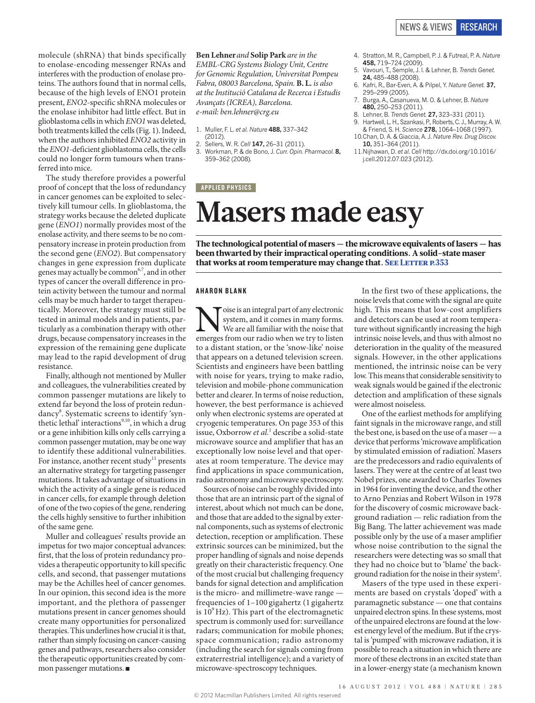molecule (shRNA) that binds specifically to enolase-encoding messenger RNAs and interferes with the production of enolase proteins. The authors found that in normal cells, because of the high levels of ENO1 protein present, *ENO2*-specific shRNA molecules or the enolase inhibitor had little effect. But in glioblastoma cells in which *ENO1* was deleted, both treatments killed the cells (Fig. 1). Indeed, when the authors inhibited *ENO2* activity in the *ENO1*-deficient glioblastoma cells, the cells could no longer form tumours when transferred into mice.

The study therefore provides a powerful proof of concept that the loss of redundancy in cancer genomes can be exploited to selectively kill tumour cells. In glioblastoma, the strategy works because the deleted duplicate gene (*ENO1*) normally provides most of the enolase activity, and there seems to be no compensatory increase in protein production from the second gene (*ENO2*). But compensatory changes in gene expression from duplicate genes may actually be common<sup>6,7</sup>, and in other types of cancer the overall difference in protein activity between the tumour and normal cells may be much harder to target therapeutically. Moreover, the strategy must still be tested in animal models and in patients, particularly as a combination therapy with other drugs, because compensatory increases in the expression of the remaining gene duplicate may lead to the rapid development of drug resistance.

Finally, although not mentioned by Muller and colleagues, the vulnerabilities created by common passenger mutations are likely to extend far beyond the loss of protein redundancy<sup>8</sup>. Systematic screens to identify 'synthetic lethal' interactions<sup>9,10</sup>, in which a drug or a gene inhibition kills only cells carrying a common passenger mutation, may be one way to identify these additional vulnerabilities. For instance, another recent study<sup>11</sup> presents an alternative strategy for targeting passenger mutations. It takes advantage of situations in which the activity of a single gene is reduced in cancer cells, for example through deletion of one of the two copies of the gene, rendering the cells highly sensitive to further inhibition of the same gene.

Muller and colleagues' results provide an impetus for two major conceptual advances: first, that the loss of protein redundancy provides a therapeutic opportunity to kill specific cells, and second, that passenger mutations may be the Achilles heel of cancer genomes. In our opinion, this second idea is the more important, and the plethora of passenger mutations present in cancer genomes should create many opportunities for personalized therapies. This underlines how crucial it is that, rather than simply focusing on cancer-causing genes and pathways, researchers also consider the therapeutic opportunities created by common passenger mutations. ■

### **Ben Lehner***and* **Solip Park** *are in the EMBL-CRG Systems Biology Unit, Centre for Genomic Regulation, Universitat Pompeu Fabra, 08003 Barcelona, Spain.* **B. L.** *is also at the Institució Catalana de Recerca i Estudis Avançats (ICREA), Barcelona. e-mail: ben.lehner@crg.eu*

- 1. Muller, F. L. *et al. Nature* **488,** 337–342
	- (2012).
- 2. Sellers, W. R. *Cell* **147,** 26–31 (2011).
- 3. Workman, P. & de Bono, J. *Curr. Opin. Pharmacol.* **8,** 359–362 (2008).

#### **APPLIED PHYSICS**

- 4. Stratton, M. R., Campbell, P. J. & Futreal, P. A. *Nature* **458,** 719–724 (2009).
- 5. Vavouri, T., Semple, J. I. & Lehner, B. *Trends Genet.* **24,** 485–488 (2008).
- 6. Kafri, R., Bar-Even, A. & Pilpel, Y. *Nature Genet.* **37,** 295–299 (2005).
- 7. Burga, A., Casanueva, M. O. & Lehner, B. *Nature* **480,** 250–253 (2011).
- 8. Lehner, B. *Trends Genet.* **27,** 323–331 (2011). Hartwell, L. H., Szankasi, P., Roberts, C. J., Murray, A. W.
- & Friend, S. H. *Science* **278,** 1064–1068 (1997). 10.Chan, D. A. & Giaccia, A. J. *Nature Rev. Drug Discov.*
- **10,** 351–364 (2011).
- 11.Nijhawan, D. *et al*. *Cell* http://dx.doi.org/10.1016/ j.cell.2012.07.023 (2012).

# **Masers made easy**

The technological potential of masers — the microwave equivalents of lasers — has been thwarted by their impractical operating conditions. A solid-state maser that works at room temperature may change that. SEE LETTER P.353

#### AHARON BLANK

 $\begin{minipage}[c]{0.9\linewidth} \begin{minipage}[c]{0.9\linewidth} \begin{centerline} \begin{tabular}{c} \text{wise is an integral part of any electronic system, and it comes in many forms.} \end{tabular} \end{centerline} \end{minipage} \begin{minipage}[c]{0.9\linewidth} \begin{centerline} \begin{tabular}[c]{c} \text{wise is an integral part of any electronic system, and it comes in many forms.} \end{tabular} \end{centerline} \end{minipage} \end{minipage} \end{minipage} \end{minipage} \begin{minipage}[c]{0.9\linewidth} \begin{centerline} \begin{tabular}[c]{c} \text{wise is an integral part of any electronic$ system, and it comes in many forms. We are all familiar with the noise that to a distant station, or the 'snow-like' noise that appears on a detuned television screen. Scientists and engineers have been battling with noise for years, trying to make radio, television and mobile-phone communication better and clearer. In terms of noise reduction, however, the best performance is achieved only when electronic systems are operated at cryogenic temperatures. On page 353 of this issue, Oxborrow *et al.*<sup>1</sup> describe a solid-state microwave source and amplifier that has an exceptionally low noise level and that operates at room temperature. The device may find applications in space communication, radio astronomy and microwave spectroscopy.

Sources of noise can be roughly divided into those that are an intrinsic part of the signal of interest, about which not much can be done, and those that are added to the signal by external components, such as systems of electronic detection, reception or amplification. These extrinsic sources can be minimized, but the proper handling of signals and noise depends greatly on their characteristic frequency. One of the most crucial but challenging frequency bands for signal detection and amplification is the micro- and millimetre-wave range frequencies of 1–100 gigahertz (1 gigahertz is  $10^9$  Hz). This part of the electromagnetic spectrum is commonly used for: surveillance radars; communication for mobile phones; space communication; radio astronomy (including the search for signals coming from extraterrestrial intelligence); and a variety of microwave-spectroscopy techniques.

In the first two of these applications, the noise levels that come with the signal are quite high. This means that low-cost amplifiers and detectors can be used at room temperature without significantly increasing the high intrinsic noise levels, and thus with almost no deterioration in the quality of the measured signals. However, in the other applications mentioned, the intrinsic noise can be very low. This means that considerable sensitivity to weak signals would be gained if the electronic detection and amplification of these signals were almost noiseless.

One of the earliest methods for amplifying faint signals in the microwave range, and still the best one, is based on the use of a maser — a device that performs 'microwave amplification by stimulated emission of radiation'. Masers are the predecessors and radio equivalents of lasers. They were at the centre of at least two Nobel prizes, one awarded to Charles Townes in 1964 for inventing the device, and the other to Arno Penzias and Robert Wilson in 1978 for the discovery of cosmic microwave background radiation — relic radiation from the Big Bang. The latter achievement was made possible only by the use of a maser amplifier whose noise contribution to the signal the researchers were detecting was so small that they had no choice but to 'blame' the background radiation for the noise in their system<sup>2</sup>.

Masers of the type used in these experiments are based on crystals 'doped' with a paramagnetic substance — one that contains unpaired electron spins. In these systems, most of the unpaired electrons are found at the lowest energy level of the medium. But if the crystal is 'pumped' with microwave radiation, it is possible to reach a situation in which there are more of these electrons in an excited state than in a lower-energy state (a mechanism known